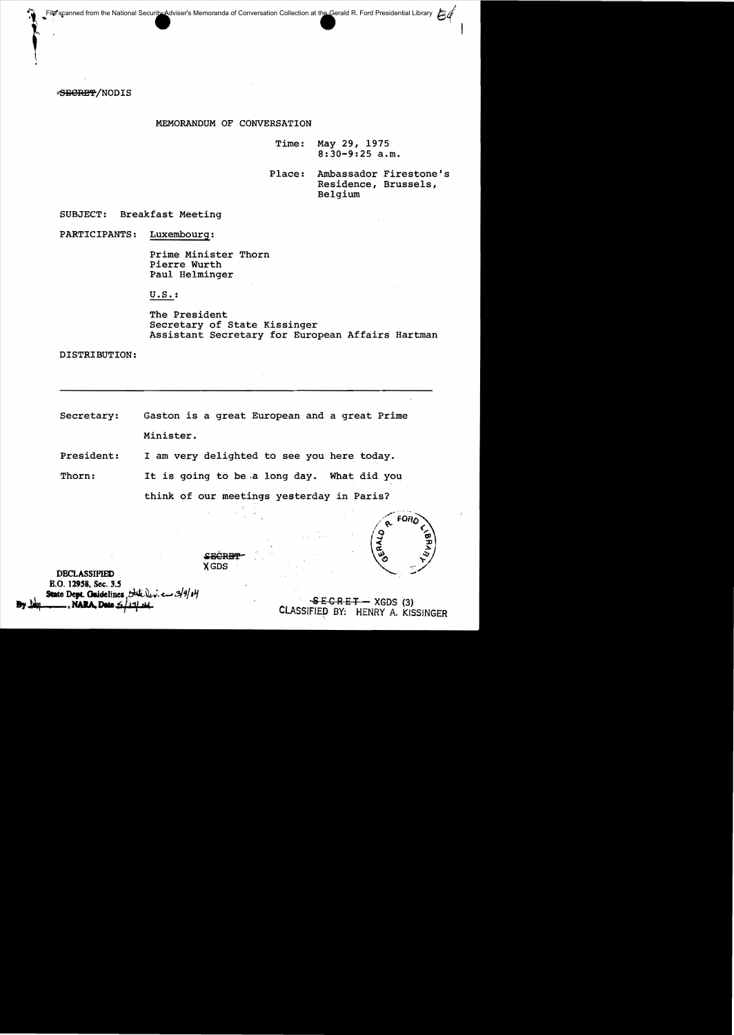cSBCRB'f'/NODIS

# MEMORANDUM OF CONVERSATION

Time: May 29, 1975 8:30-9:25 a.m.

Place: Ambassador Firestone's Residence, Brussels, Belgium

SUBJECT: Breakfast Meeting

PARTICIPANTS: Luxembourg:

Prime Minister Thorn Pierre Wurth Paul Helminger

U.S. :

The President Secretary of State Kissinger Assistant Secretary for European Affairs Hartman

DISTRIBUTION:

- Secretary: Gaston is a great European and a great Prime Minister.
- President: I am very delighted to see you here today.
- Thorn: It is going to be a long day. What did you

think of our meetings yesterday in Paris?

SECRBT-XGDS

**DECLASSIFIED** B.O. 12958, Sec. 3.5 State Dept. Guidelines  $D^k$ .. NARA Date.

 $-$ <del>SECRET</del> $-$  XGDS (3) CLASSIFIED BY: HENRY A. KISSINGER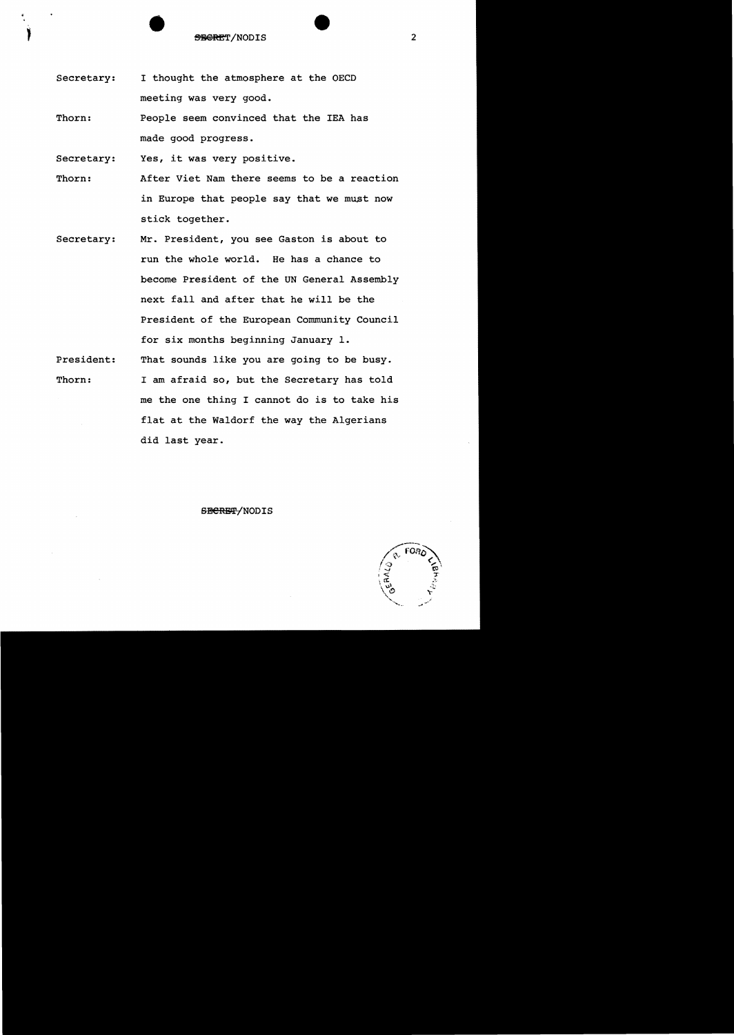secretary: I thought the atmosphere at the OECD meeting was very good.

Thorn: People seem convinced that the lEA has made good progress.

secretary: Yes, it was very positive.

Thorn: After Viet Nam there seems to be a reaction in Europe that people say that we must now stick together.

- Secretary: Mr. President, you see Gaston is about to run the whole world. He has a chance to become President of the UN General Assembly next fall and after that he will be the President of the European Community Council for six months beginning January **1.**
- President: Thorn: That sounds like you are going to be busy. I am afraid so, but the Secretary has told me the one thing I cannot do is to take his flat at the Waldorf the way the Algerians did last year.

SECRET/NODIS

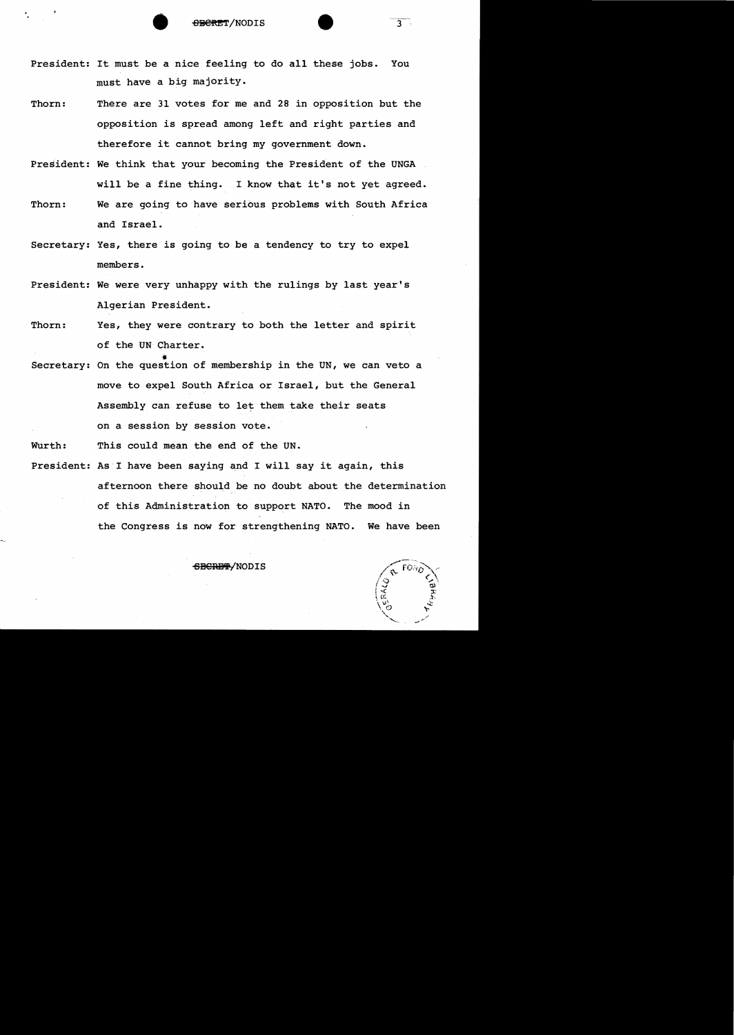- President: It must be a nice feeling to do all these jobs. You must have a big majority.
- Thorn: There are 31 votes for me and 28 in opposition but the opposition is spread among left and right parties and therefore it cannot bring my government down.
- President: We think that your becoming the President of the UNGA will be a fine thing. I know that it's not yet agreed. Thorn: We are going to have serious problems with South Africa

and Israel.

- Secretary: Yes, there is going to be a tendency to try to expel members.
- President: We were very unhappy with the rulings by last year's Algerian President.
- Thorn: Yes, they were contrary to both the letter and spirit of the UN Charter.
- secretary: On the question of membership in the UN, we can veto a move to expel South Africa or Israel, but the General Assembly can refuse to let them take their seats on a session by session vote.
- Wurth: This could mean the end of the UN.
- President: As I have been saying and I will say it again, this afternoon there should be no doubt about the determination of this Administration to support NATO. The mood in the Congress is now for strengthening NATO. We have been

<del>SBCRETY</del>/NODIS

 $\overline{3}$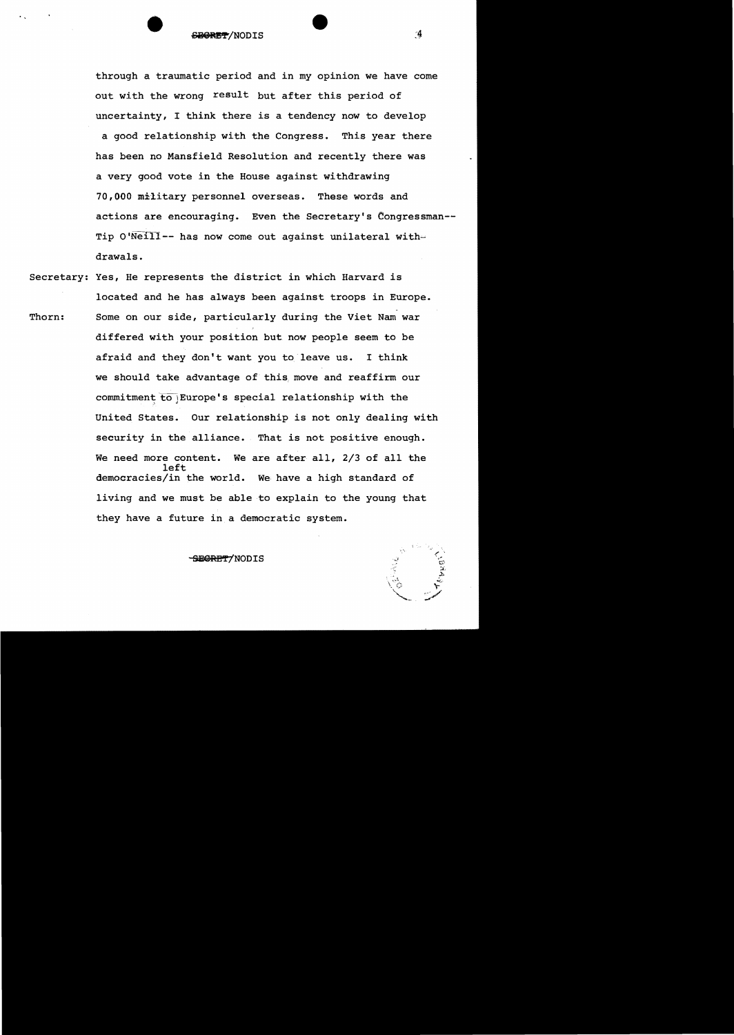• SEGRET/NODIS

through a traumatic period and in my opinion we have come out with the wrong result but after this period of uncertainty, I think there is a tendency now to develop

a good relationship with the Congress. This year there has been no Mansfield Resolution and recently there was a very good vote in the House against withdrawing 70,000 military personnel overseas. These words and actions are encouraging. Even the Secretary's Congressman- Tip O'Neill-- has now come out against unilateral withdrawals.

Secretary: Yes, He represents the district in which Harvard is located and he has always been against troops in Europe. Thorn: Some on our side, particularly during the Viet Nam war differed with your position but now people seem to be afraid and they don't want you to leave us. I think we should take advantage of this. move and reaffirm our commitment  $\overline{to}$  Europe's special relationship with the United States. Our relationship is not only dealing with security in the alliance. That is not positive enough. We need more content. We are after all, 2/3 of all the left democracies/in the world. We; have a high standard of living and we must be able to explain to the young that they have a future in a democratic system.

SEGRET/NODIS

 $\mathbf{4}$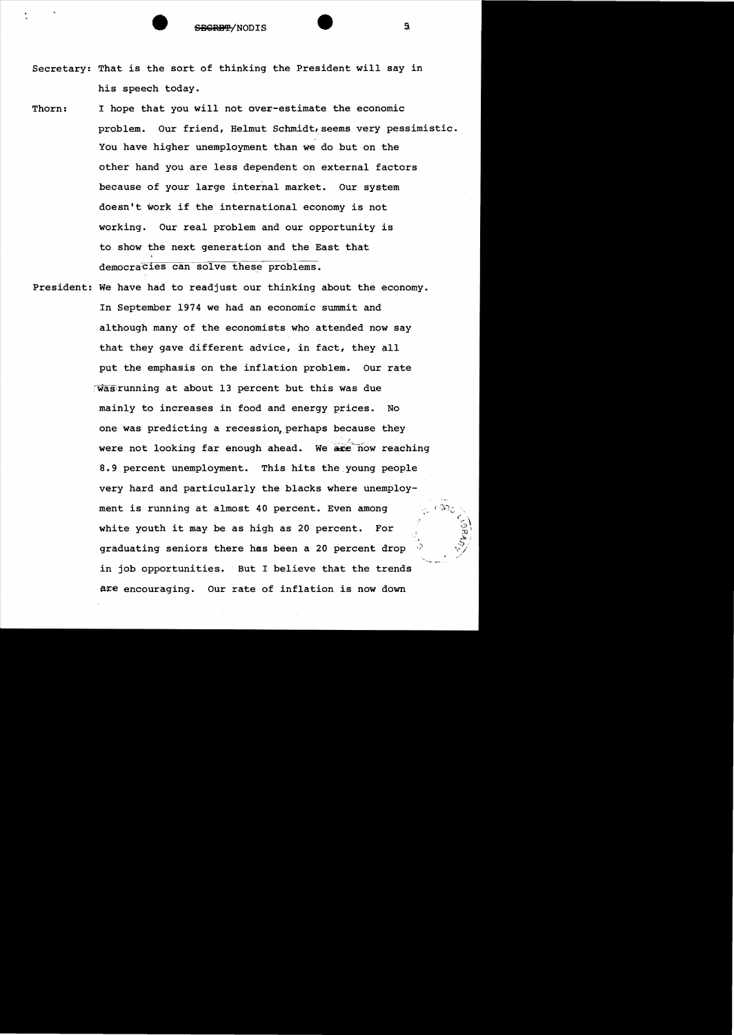Secretary: That is the sort of thinking the President will say in his speech today.

- Thorn: I hope that you will not over-estimate the economic problem. Our friend, Helmut Schmidt, seems very pessimistic. You have higher unemployment than we do but on the other hand you are less dependent on external factors because of your large internal market. Our system doesn't work if the international economy is not working. Our real problem and our opportunity is to show the next generation and the East that democracies can solve these problems.
- President: We have had to readjust our thinking about the economy. In September 1974 we had an economic summit and although many of the economists who attended now say that they gave different advice, in fact, they all put the emphasis on the inflation problem. Our rate Was running at about 13 percent but this was due mainly to increases in food and energy prices. No one was predicting a recession perhaps because they were not looking far enough ahead. We are now reaching 8.9 percent unemployment. This hits the young people very hard and particularly the blacks where unemployment is running at almost 40 percent. Even among white youth it may be as high as 20 percent. For graduating seniors there has been a 20 percent drop in job opportunities. But I believe that the trends are encouraging. Our rate of inflation is now down

5.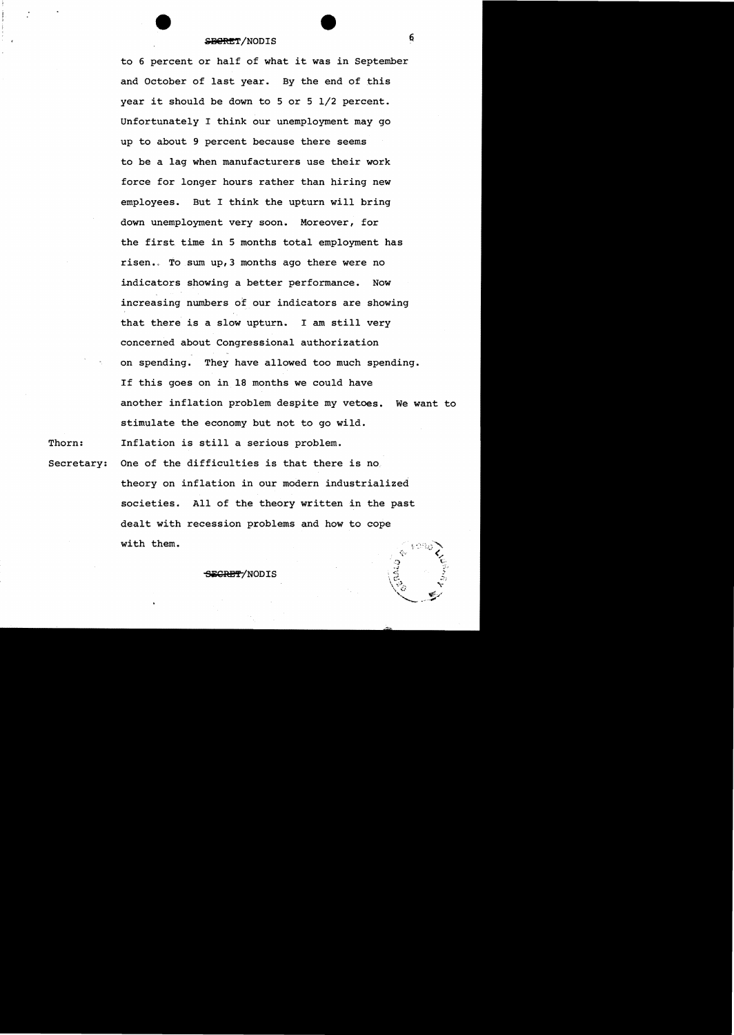# SBORET/NODIS

to 6 percent or half of what it was in September and October of last year. By the end of this year it should be down to 5 or 5 1/2 percent. Unfortunately I think our unemployment may go up to about 9 percent because there seems to be a lag when manufacturers use their work force for longer hours rather than hiring new employees. But I think the upturn will bring down unemployment very soon. Moreover, for the first time in 5 months total employment has risen., To sum up,3 months ago there were no indicators showing a better performance. Now increasing numbers of our indicators are showing that there is a slow upturn. I am still very concerned about Congressional authorization on spending. They have allowed too much spending. If this goes on in 18 months we could have another inflation problem despite my vetoes. We want to stimulate the economy but not to go wild.

Thorn: Inflation is still a serious problem.

Secretary: One of the difficulties is that there is no theory on inflation in our modern industrialized societies. All of the theory written in the past dealt with recession problems and how to cope with them.

#### <del>ECRET</del>/NODIS

6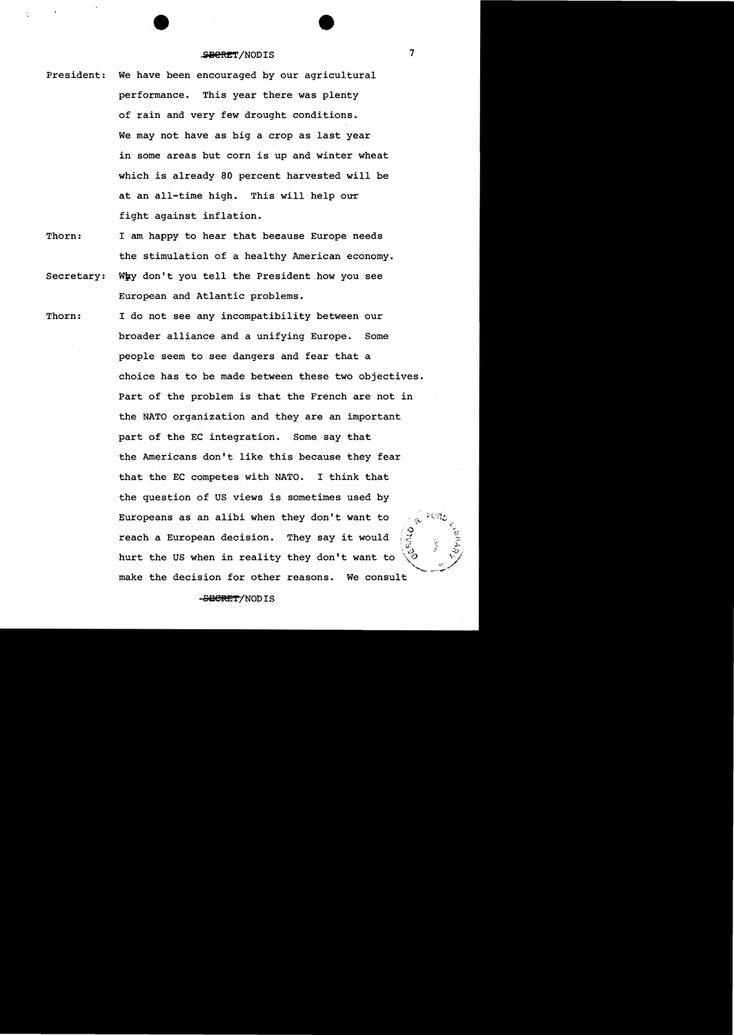- President: We have been encouraged by our agricultural performance. This year there was plenty of rain and very few drought conditions. We may not have as big a crop as last year in some areas but corn is up and winter wheat which is already 80 percent harvested will be at an all-time high. This will help our fight against inflation.
- Thorn: I am happy to hear that because Europe needs the stimulation of a healthy American economy. Secretary: Why don't you tell the President how you see

European and Atlantic problems.

Thorn: I do not see any incompatibility between our broader alliance and a unifying Europe. Some people seem to see dangers and fear that a choice has to be made between these two objectives. Part of the problem is that the French are not in the NATO organization and they are an important part of the EC integration. Some say that the Americans don't like this because they fear that the EC competes with NATO. I think that the question of US views is sometimes used by Europeans as an alibi when they don't want to  $\mathbb{R}^n \xrightarrow{t \sim \infty} \mathbb{R}$  $\sqrt{\mathsf{e}}$  . The  $\mathsf{e}_i$ reach a European decision. They say it would  $\langle \, \zeta_2 \, \rangle \quad \langle \, \zeta \, \rangle$ hurt the US when in reality they don't want to  $\setminus$  make the decision for other reasons. We consult

 $\overline{7}$ 

-SECRET/NODIS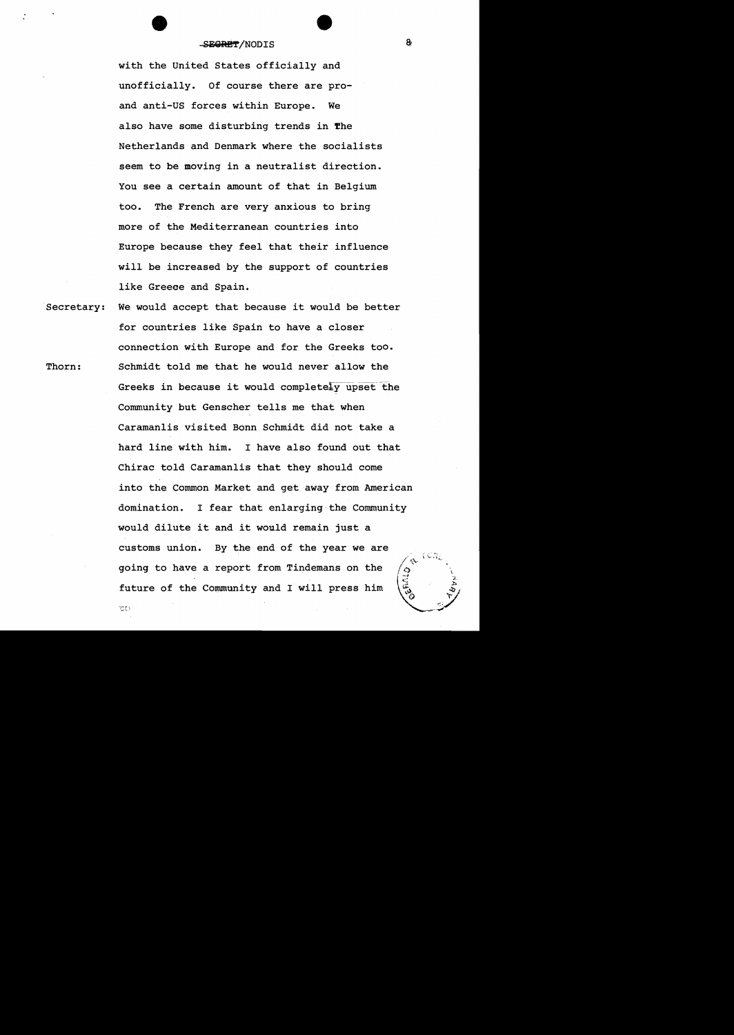# -SEGRET/NODIS

with the United States officially and unofficially. Of course there are proand anti-US forces within Europe. We also have some disturbing trends in The Netherlands and Denmark where the socialists seem to be moving in a neutralist direction. You see a certain amount of that in Belgium too. The French are very anxious to bring more of the Mediterranean countries into Europe because they feel that their influence will be increased by the support of countries like Greece and Spain.

Secretary: We would accept that because it would be better for countries like Spain to have a closer connection with Europe and for the Greeks too. Thorn: Schmidt told me that he would never allow the Greeks in because it would completely upset the Community but Genscher tells me that when Caramanlis visited Bonn Schmidt did not take a hard line with him. I have also found out that Chirac told Caramanlis that they should come into the Common Market and get away from American domination. I fear that enlarging the Community would dilute it and it would remain just a customs union. By the end of the year we are going to have a report from Tindemans on the future of the Community and I will press him

8,

**TO**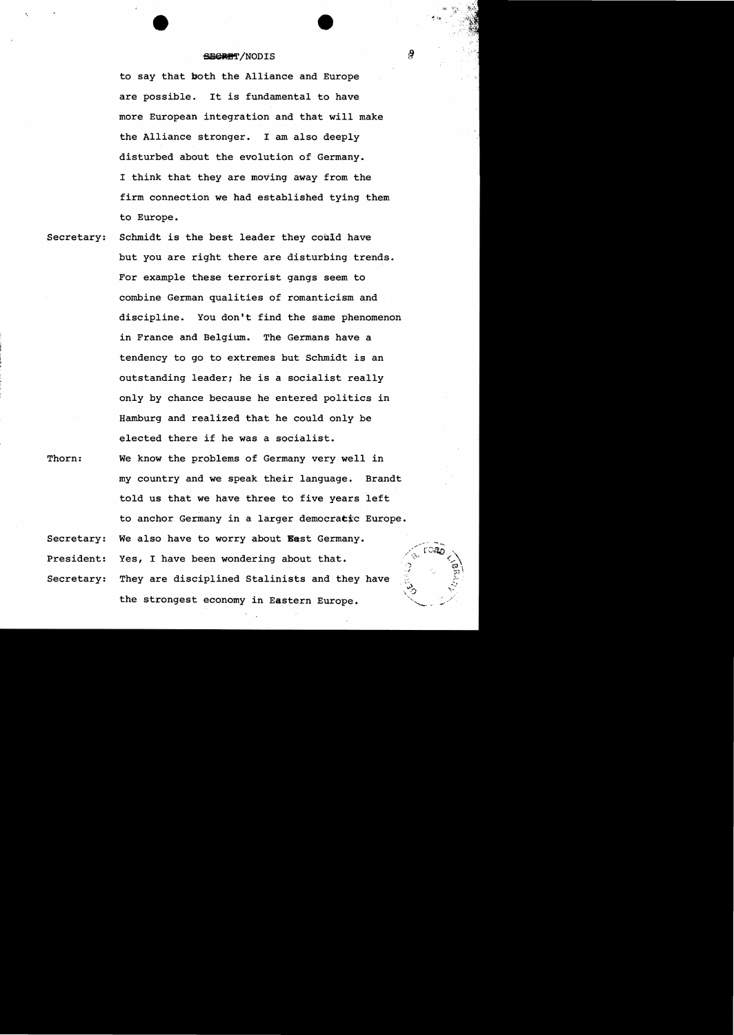'.

to say that both the Alliance and Europe are possible. It is fundamental to have more European integration and that will make the Alliance stronger. I am also deeply disturbed about the evolution of Germany. I think that they are moving away from the firm connection we had established tying them to Europe.

Secretary: Schmidt is the best leader they couid have but you are right there are disturbing trends. For example these terrorist gangs seem to combine German qualities of romanticism and discipline. You don't find the same phenomenon in France and Belgium. The Germans have a tendency to go to extremes but Schmidt is an outstanding leader; he is a socialist really only by chance because he entered politics in Hamburg and realized that he could only be elected there if he was a socialist.

Thorn: We know the problems of Germany very well in my country and we speak their language. Brandt told us that we have three to five years left to anchor Germany in a larger democratic Europe. Secretary: We also have to worry about East Germany. President: Yes, I have been wondering about that. Secretary: They are disciplined Stalinists and they have the strongest economy in Eastern Europe.

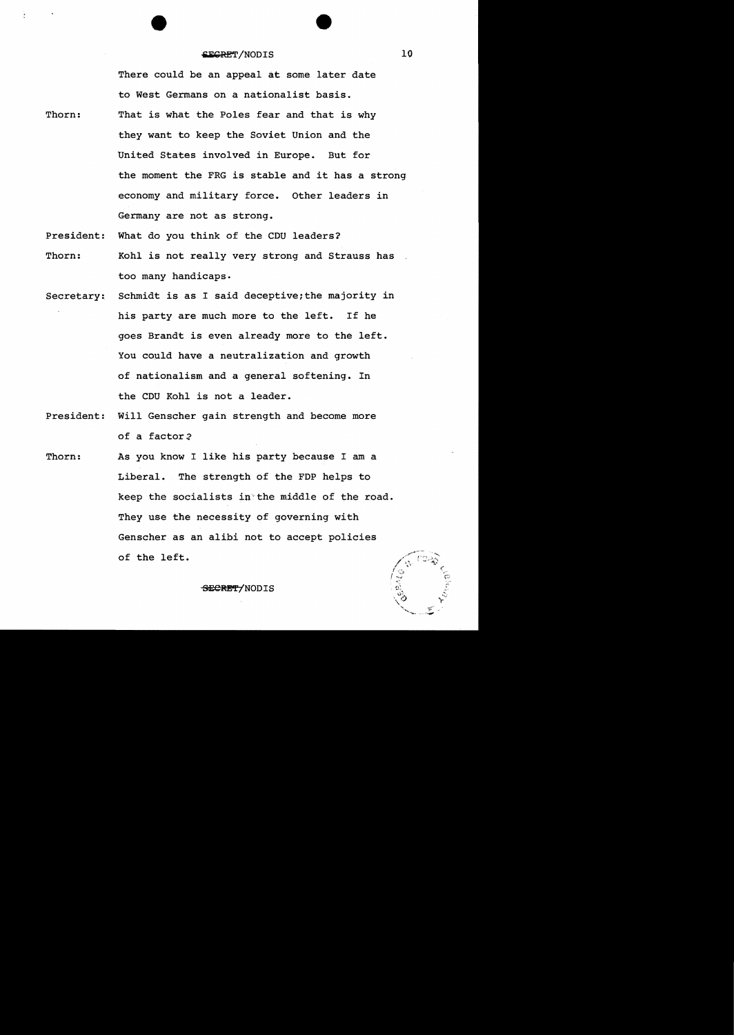There could be an appeal at some later date to West Germans on a nationalist basis.

Thorn: That is what the Poles fear and that is why they want to keep the Soviet Union and the United States involved in Europe. But for the moment the FRG is stable and it has a strong economy and military force. Other leaders in Germany are not as strong.

President: What do you think of the CDU leaders?

- Thorn: Kohl is not really very strong and Strauss has too many handicaps.
- Secretary: Schmidt is as I said deceptive;the majority in his party are much more to the left. If he goes Brandt is even already more to the left. You could have a neutralization and growth of nationalism and a general softening. In the CDU Kohl is not a leader.
- President: Will Genscher gain strength and become more of a factor?
- Thorn: As you know I like his party because I am a Liberal. The strength of the FDP helps to keep the socialists in" the middle of the road. They use the necessity of governing with Genscher as an alibi not to accept policies of the left.



SECRET/NODIS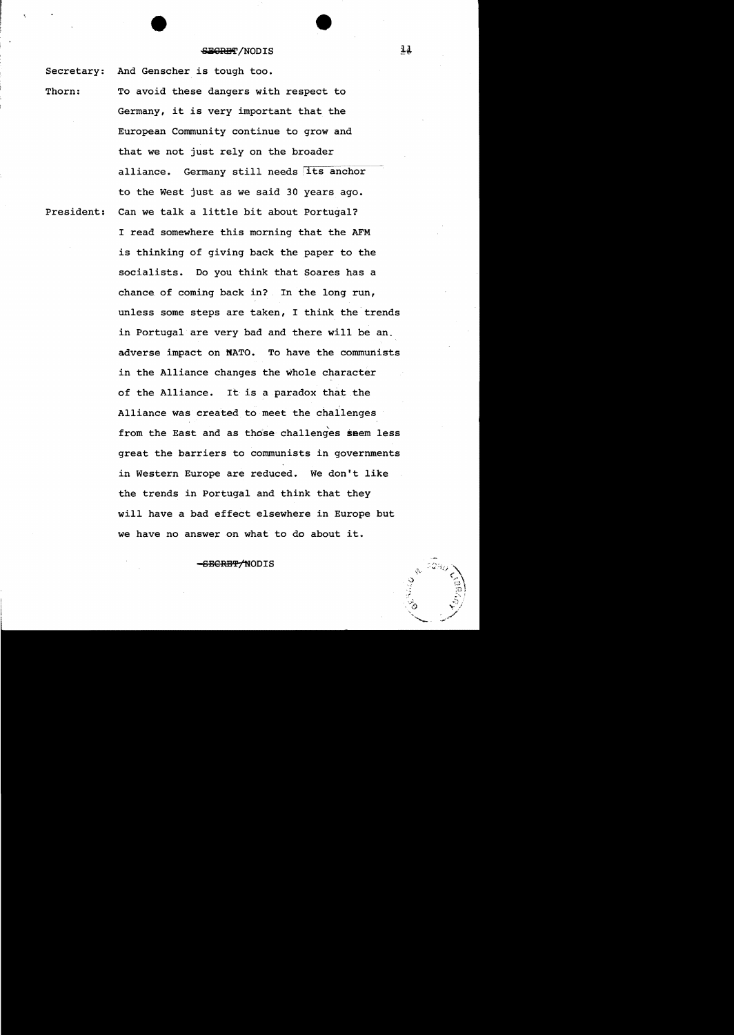Secretary: And Genscher is tough too.

Thorn: To avoid these dangers with respect to Germany, it is very important that the European Community continue to grow and that we not just rely on the broader alliance. Germany still needs its anchor to the West just as we said 30 years ago. President: Can we talk a little bit about Portugal?

> I read somewhere this morning that the AFM is thinking of giving back the paper to the socialists. Do you think that Soares has a chance of coming back in? In the long run, unless some steps are taken, I think the trends in Portugal are very bad and there will be an. adverse impact on NATO. To have the communists in the Alliance changes the whole character of the Alliance. It is a paradox that the Alliance was created to meet the challenges from the East and as those challenges seem less great the barriers to communists in governments in Western Europe are reduced. We don't like the trends in Portugal and think that they will have a bad effect elsewhere in Europe but we have no answer on what to do about it.

> > SECRET/NODIS

14

'J  $\sim$ -f' -:-~?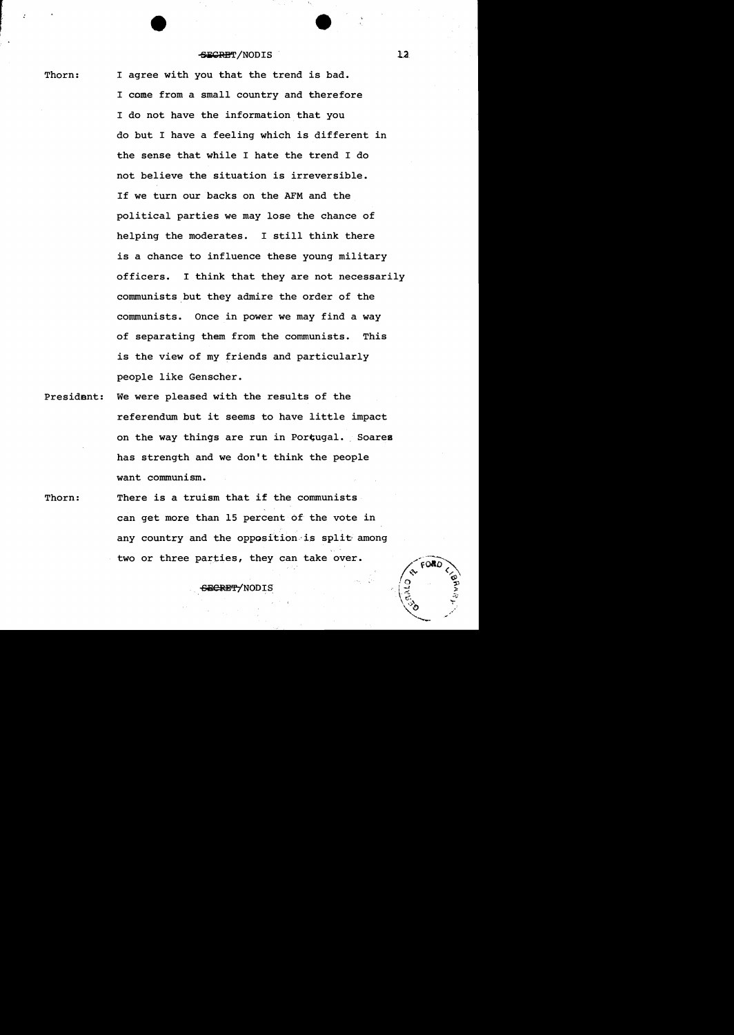# 5FCRET/NODIS 12

Thorn: I agree with you that the trend is bad. I come from a small country and therefore I do not have the information that you do but I have a feeling which is different in the sense that while I hate the trend I do not believe the situation is irreversible. If we turn our backs on the AFM and the political parties we may lose the chance of helping the moderates. I still think there is a chance to influence these young military officers. I think that they are not necessarily communists but they admire the order of the communists. Once in power we may find a way of separating them from the communists. This is the view of my friends and particularly people like Genscher.

- President: We were pleased with the results of the referendum but it seems to have little impact on the way things are run in Portugal. Soares has strength and we don't think the people want communism.
- Thorn: There is a truism that if the communists can get more than 15 percent 6f the vote in any country and the opposition is split among two or three parties, they can take over.

## <del>CRET/</del>NODIS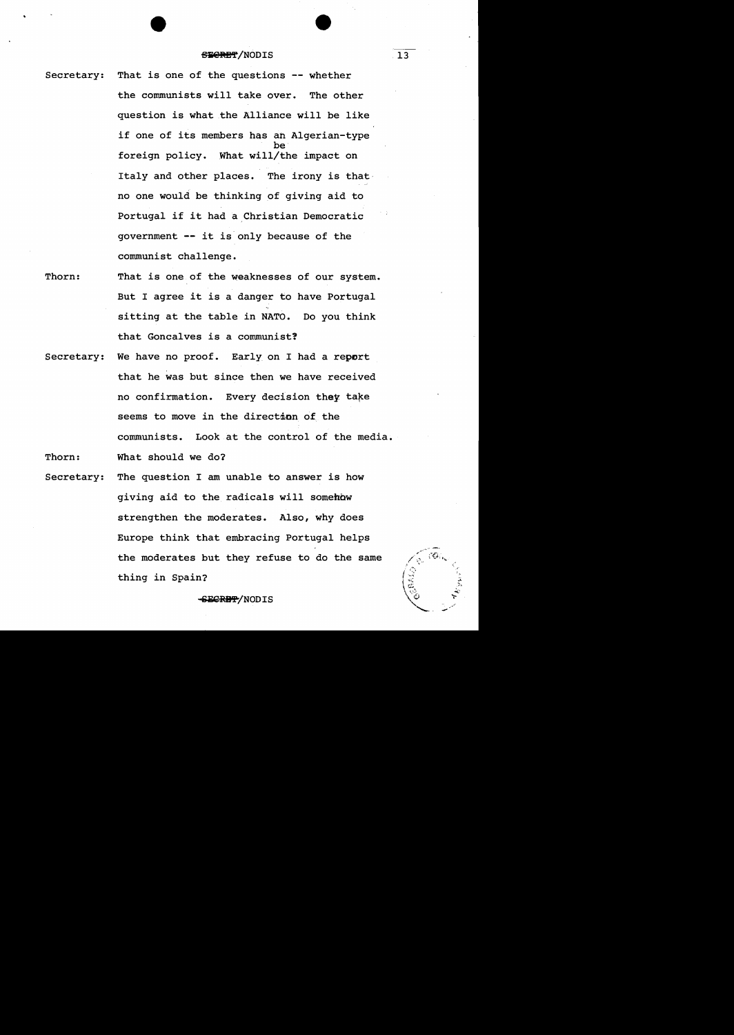## §@Ml'f/NODIS .13

Secretary: That is one of the questions  $-$ - whether the communists will take over. The other question is what the Alliance will be like if one of its members has ah Algerian-type be foreign policy. What will/the impact on Italy and other places. The irony is thatno one would be thinking of giving aid to Portugal if it had a Christian Democratic government -- it is only because of the communist challenge.

- Thorn: That is one of the weaknesses of our system. But I agree it is a danger to have Portugal sitting at the table in NATO. Do you think that Goncalves is a communist?
- Secretary: We have no proof. Early on I had a report that he was but since then we have received no confirmation. Every decision they take seems to move in the direction of the communists. Look at the control of the media.

Thorn: What should we do?

Secretary: The question I am unable to answer is how giving aid to the radicals will somehow strengthen the moderates. Also, why does Europe think that embracing Portugal helps the moderates but they refuse to do the same thing in Spain?

## -SEGRBT/NODIS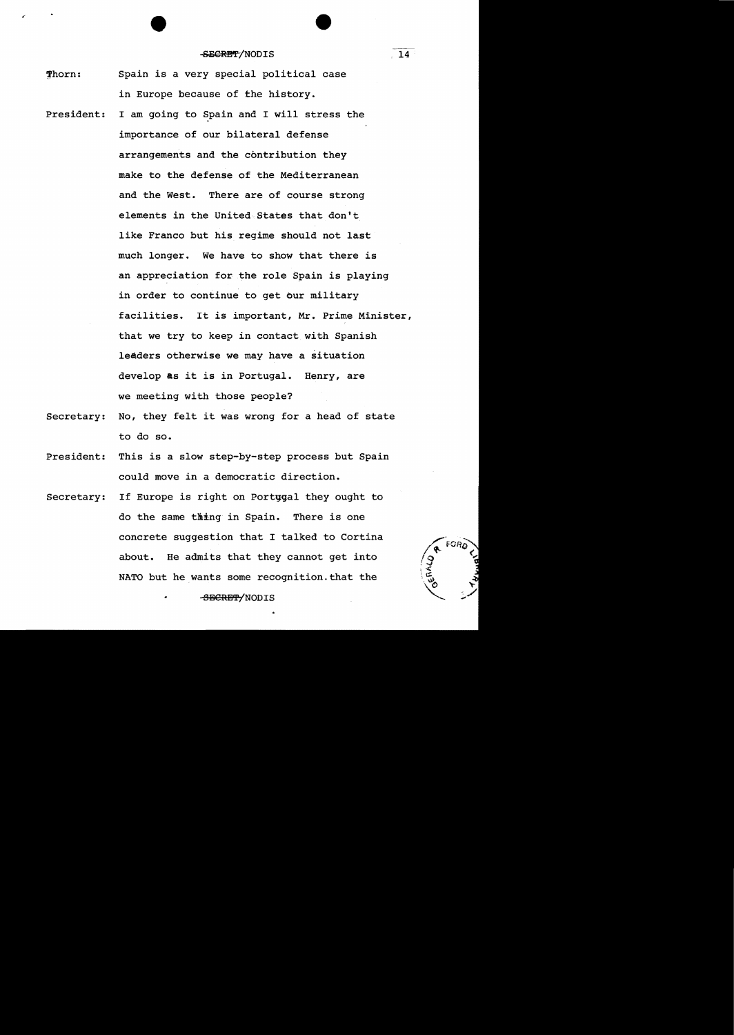- 'Jhorn: Spain is a very special political case in Europe because of the history.
- President: I am going to Spain and I will stress the importance of our bilateral defense arrangements and the contribution they make to the defense of the Mediterranean and the West. There are of course strong elements in the United States that don't like Franco but his regime should not last much longer. We have to show that there is an appreciation for the role Spain is playing in order to continue to get our military facilities. It is important, Mr. Prime Minister, that we try to keep in contact with Spanish leaders otherwise we may have a situation develop as it is in Portugal. Henry, are we meeting with those people?
- Secretary: No, they felt it was wrong for a head of state to do so.
- President: This is a slow step-by-step process but Spain could move in a democratic direction.
- Secretary: If Europe is right on Portggal they ought to do the same thing in Spain. There is one concrete suggestion that I talked to Cortina about. He admits that they cannot get into NATO but he wants some recognition. that the

-SECRET/NODIS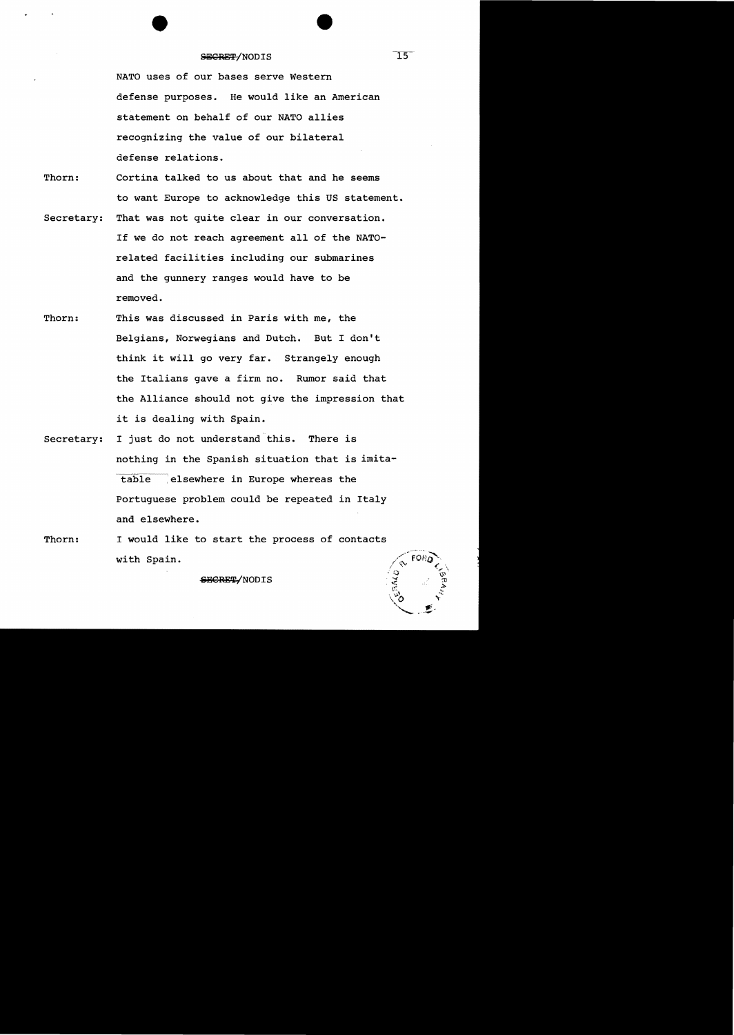NATO uses of our bases serve Western defense purposes. He would like an American statement on behalf of our NATO allies recognizing the value of our bilateral defense relations.

- Thorn: Cortina talked to us about that and he seems to want Europe to acknowledge this US statement.
- secretary: That was not quite clear in our conversation. If we do not reach agreement all of the NATOrelated facilities including our submarines and the gunnery ranges would have to be removed.
- Thorn: This was discussed in Paris with me, the Belgians, Norwegians and Dutch. But I don't think it will go very far. Strangely enough the Italians gave a firm no. Rumor said that the Alliance should not give the impression that it is dealing with Spain.
- Secretary: I just do not understand this. There is nothing in the Spanish situation that is imitatable elsewhere in Europe whereas the Portuguese problem could be repeated in Italy and elsewhere.
- Thorn: I would like to start the process of contacts with Spain.

SECRET/NODIS

 $15^{-}$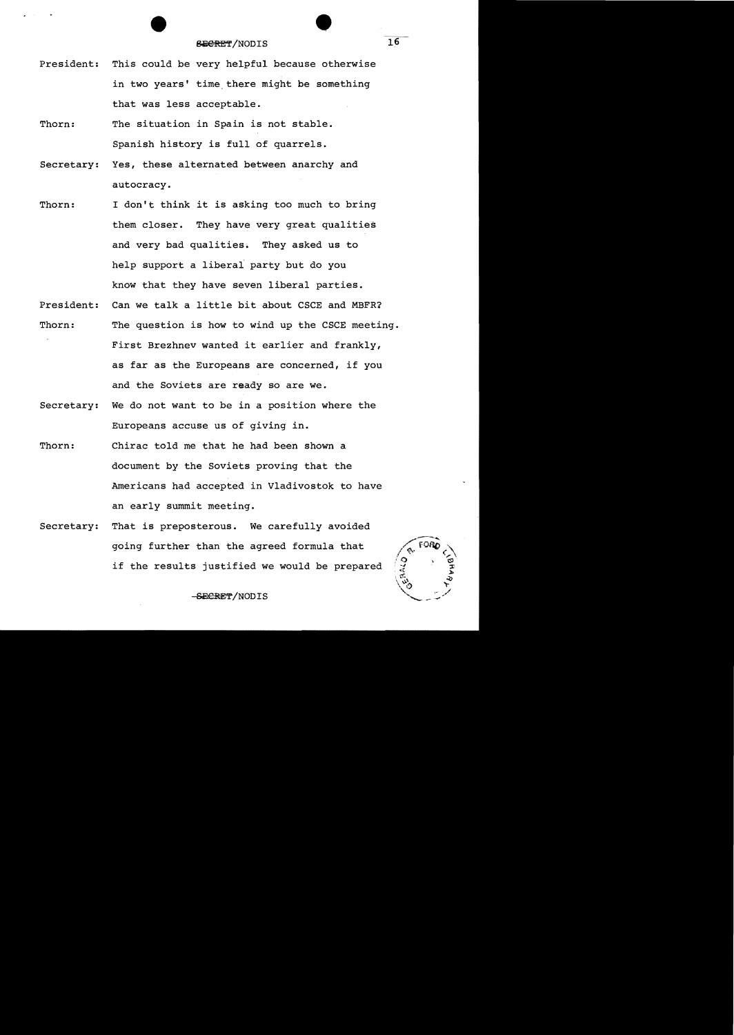## SBeRE'f'/NODIS

- President: This could be very helpful because otherwise in two years' time there might be something that was less acceptable.
- Thorn: The situation in Spain is not stable. Spanish history is full of quarrels.
- Secretary: Yes, these alternated between anarchy and autocracy.
- Thorn: I don't think it is asking too much to bring them closer. They have very great qualities and very bad qualities. They asked us to help support a liberal party but do you know that they have seven liberal parties.
- President: Can we talk a little bit about CSCE and MBFR? Thorn: The question is how to wind up the CSCE meeting. First Brezhnev wanted it earlier and frankly, as far as the Europeans are concerned, if you and the Soviets are ready so are we.
- Secretary: We do not want to be in a position where the Europeans accuse us of giving in.
- Thorn: Chirac told me that he had been shown a document by the Soviets proving that the Americans had accepted in Vladivostok to have an early summit meeting.
- Secretary: That is preposterous. We carefully avoided going further than the agreed formula that if the results justified we would be prepared

 $16$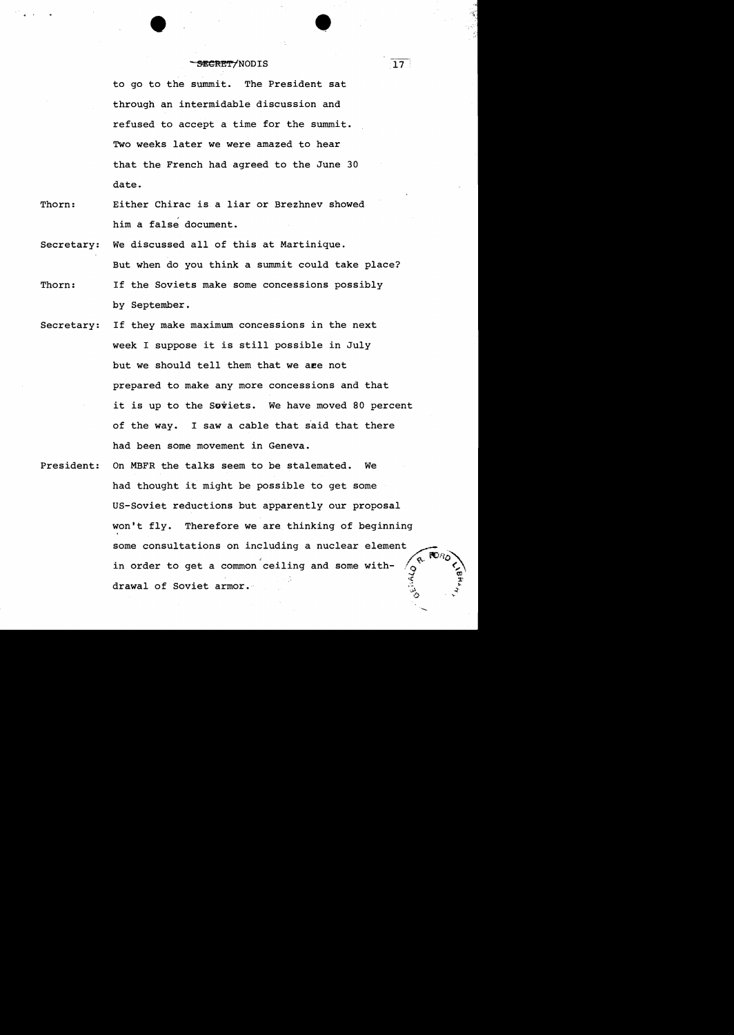to go to the summit. The President sat through an intermidable discussion and refused to accept a time for the summit. Two weeks later we were amazed to hear that the French had agreed to the June 30 date.

Thorn: Either Chirac is a liar or Brezhnev showed him a false document.

secretary: We discussed all of this at Martinique.

But when do you think a summit could take place? Thorn: If the Soviets make some concessions possibly by September.

- Secretary: If they make maximum concessions in the next week I suppose it is still possible in July but we should tell them that we aee not prepared to make any more concessions and that it is up to the Soviets. We have moved 80 percent of the way. I saw a cable that said that there had been some movement in Geneva.
- President: On MBFR the talks seem to be stalemated. We had thought it might be possible to get some US-Soviet reductions but apparently our proposal won't fly. Therefore we are thinking of beginning some consultations on including a nuclear in order to get a common ceiling and some withdrawal of Soviet armor.

•